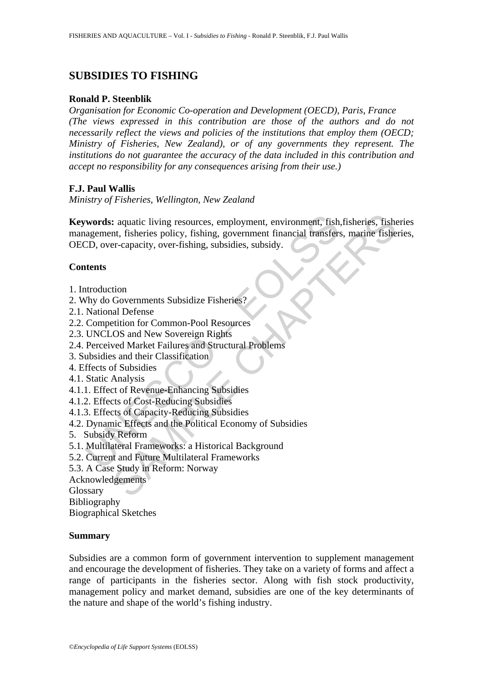# **SUBSIDIES TO FISHING**

#### **Ronald P. Steenblik**

*Organisation for Economic Co-operation and Development (OECD), Paris, France (The views expressed in this contribution are those of the authors and do not necessarily reflect the views and policies of the institutions that employ them (OECD; Ministry of Fisheries, New Zealand), or of any governments they represent. The institutions do not guarantee the accuracy of the data included in this contribution and accept no responsibility for any consequences arising from their use.)* 

## **F.J. Paul Wallis**

*Ministry of Fisheries, Wellington, New Zealand* 

**Example 18 Alternation** environment, fish<br>agement, fisheries policy, fishing, government financial transfert<br>CD, over-capacity, over-fishing, subsidies, subsidy.<br>**Alternation**<br>transference and New Soveries and Subsidies F Exercise and twing resources, employment, environment, fish, fisheries, ish<br>the series policy, fishing, government financial transfers, marine fishe<br>er-capacity, over-fishing, subsidies, subsidy.<br>Covernments Subsidize Fish **Keywords:** aquatic living resources, employment, environment, fish,fisheries, fisheries management, fisheries policy, fishing, government financial transfers, marine fisheries, OECD, over-capacity, over-fishing, subsidies, subsidy.

## **Contents**

- 1. Introduction
- 2. Why do Governments Subsidize Fisheries?
- 2.1. National Defense
- 2.2. Competition for Common-Pool Resources
- 2.3. UNCLOS and New Sovereign Rights
- 2.4. Perceived Market Failures and Structural Problems
- 3. Subsidies and their Classification
- 4. Effects of Subsidies
- 4.1. Static Analysis
- 4.1.1. Effect of Revenue-Enhancing Subsidies
- 4.1.2. Effects of Cost-Reducing Subsidies
- 4.1.3. Effects of Capacity-Reducing Subsidies
- 4.2. Dynamic Effects and the Political Economy of Subsidies
- 5. Subsidy Reform
- 5.1. Multilateral Frameworks: a Historical Background
- 5.2. Current and Future Multilateral Frameworks
- 5.3. A Case Study in Reform: Norway
- Acknowledgements

**Glossary** 

Bibliography

Biographical Sketches

#### **Summary**

Subsidies are a common form of government intervention to supplement management and encourage the development of fisheries. They take on a variety of forms and affect a range of participants in the fisheries sector. Along with fish stock productivity, management policy and market demand, subsidies are one of the key determinants of the nature and shape of the world's fishing industry.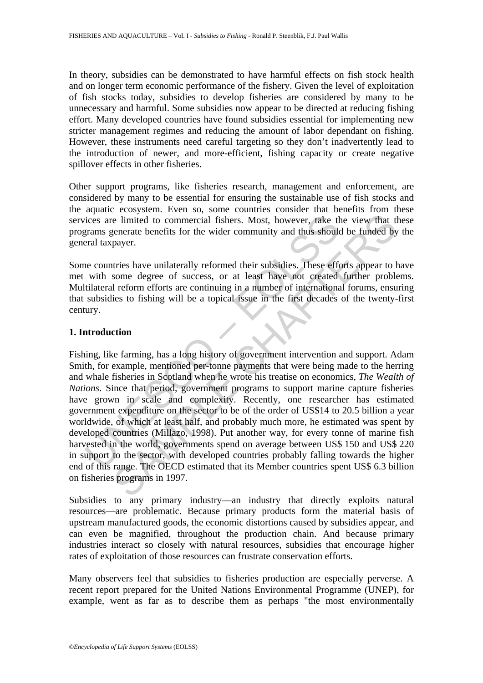In theory, subsidies can be demonstrated to have harmful effects on fish stock health and on longer term economic performance of the fishery. Given the level of exploitation of fish stocks today, subsidies to develop fisheries are considered by many to be unnecessary and harmful. Some subsidies now appear to be directed at reducing fishing effort. Many developed countries have found subsidies essential for implementing new stricter management regimes and reducing the amount of labor dependant on fishing. However, these instruments need careful targeting so they don't inadvertently lead to the introduction of newer, and more-efficient, fishing capacity or create negative spillover effects in other fisheries.

Other support programs, like fisheries research, management and enforcement, are considered by many to be essential for ensuring the sustainable use of fish stocks and the aquatic ecosystem. Even so, some countries consider that benefits from these services are limited to commercial fishers. Most, however, take the view that these programs generate benefits for the wider community and thus should be funded by the general taxpayer.

Some countries have unilaterally reformed their subsidies. These efforts appear to have met with some degree of success, or at least have not created further problems. Multilateral reform efforts are continuing in a number of international forums, ensuring that subsidies to fishing will be a topical issue in the first decades of the twenty-first century.

#### **1. Introduction**

ices are limited to commercial fishers. Most, however, take the prams generate benefits for the wider community and thus should real taxpayer.<br>
ae countries have unilaterally reformed their subsidies. These effective with is the world to commercial fishers. Most, however, take the view that the limited to commercial fishers. Most, however, take the view that the preache benefits for the wider community and thus should be funded by payer.<br>
I Fishing, like farming, has a long history of government intervention and support. Adam Smith, for example, mentioned per-tonne payments that were being made to the herring and whale fisheries in Scotland when he wrote his treatise on economics, *The Wealth of Nations*. Since that period, government programs to support marine capture fisheries have grown in scale and complexity. Recently, one researcher has estimated government expenditure on the sector to be of the order of US\$14 to 20.5 billion a year worldwide, of which at least half, and probably much more, he estimated was spent by developed countries (Millazo, 1998). Put another way, for every tonne of marine fish harvested in the world, governments spend on average between US\$ 150 and US\$ 220 in support to the sector, with developed countries probably falling towards the higher end of this range. The OECD estimated that its Member countries spent US\$ 6.3 billion on fisheries programs in 1997.

Subsidies to any primary industry—an industry that directly exploits natural resources—are problematic. Because primary products form the material basis of upstream manufactured goods, the economic distortions caused by subsidies appear, and can even be magnified, throughout the production chain. And because primary industries interact so closely with natural resources, subsidies that encourage higher rates of exploitation of those resources can frustrate conservation efforts.

Many observers feel that subsidies to fisheries production are especially perverse. A recent report prepared for the United Nations Environmental Programme (UNEP), for example, went as far as to describe them as perhaps "the most environmentally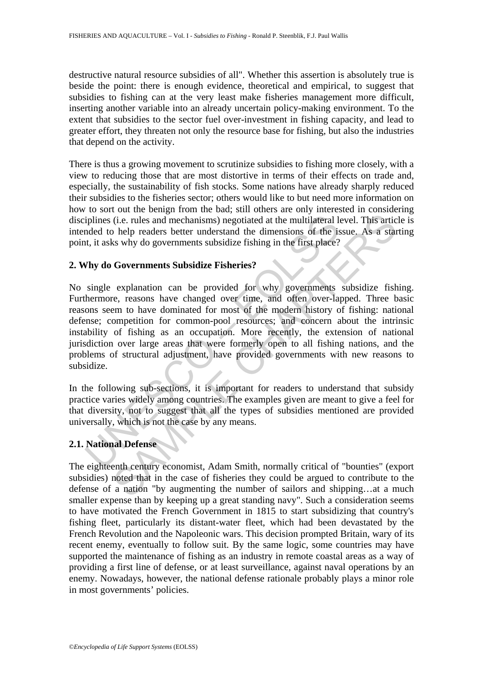destructive natural resource subsidies of all". Whether this assertion is absolutely true is beside the point: there is enough evidence, theoretical and empirical, to suggest that subsidies to fishing can at the very least make fisheries management more difficult, inserting another variable into an already uncertain policy-making environment. To the extent that subsidies to the sector fuel over-investment in fishing capacity, and lead to greater effort, they threaten not only the resource base for fishing, but also the industries that depend on the activity.

There is thus a growing movement to scrutinize subsidies to fishing more closely, with a view to reducing those that are most distortive in terms of their effects on trade and, especially, the sustainability of fish stocks. Some nations have already sharply reduced their subsidies to the fisheries sector; others would like to but need more information on how to sort out the benign from the bad; still others are only interested in considering disciplines (i.e. rules and mechanisms) negotiated at the multilateral level. This article is intended to help readers better understand the dimensions of the issue. As a starting point, it asks why do governments subsidize fishing in the first place?

#### **2. Why do Governments Subsidize Fisheries?**

iplines (i.e. rules and mechanisms) negotiated at the multilateral lended to help readers better understand the dimensions of the is, that, it asks why do governments subsidize Fisheries?<br> **Vhy do Governments Subsidize Fis** (i.e. rules and mechanisms) negotiated at the multilateral level. This artic<br>(i.e. rules and mechanisms) negotiated at the multilateral level. This artic<br>o help readers better understand the dimensions of the issue. As a s No single explanation can be provided for why governments subsidize fishing. Furthermore, reasons have changed over time, and often over-lapped. Three basic reasons seem to have dominated for most of the modern history of fishing: national defense; competition for common-pool resources; and concern about the intrinsic instability of fishing as an occupation. More recently, the extension of national jurisdiction over large areas that were formerly open to all fishing nations, and the problems of structural adjustment, have provided governments with new reasons to subsidize.

In the following sub-sections, it is important for readers to understand that subsidy practice varies widely among countries. The examples given are meant to give a feel for that diversity, not to suggest that all the types of subsidies mentioned are provided universally, which is not the case by any means.

#### **2.1. National Defense**

The eighteenth century economist, Adam Smith, normally critical of "bounties" (export subsidies) noted that in the case of fisheries they could be argued to contribute to the defense of a nation "by augmenting the number of sailors and shipping…at a much smaller expense than by keeping up a great standing navy". Such a consideration seems to have motivated the French Government in 1815 to start subsidizing that country's fishing fleet, particularly its distant-water fleet, which had been devastated by the French Revolution and the Napoleonic wars. This decision prompted Britain, wary of its recent enemy, eventually to follow suit. By the same logic, some countries may have supported the maintenance of fishing as an industry in remote coastal areas as a way of providing a first line of defense, or at least surveillance, against naval operations by an enemy. Nowadays, however, the national defense rationale probably plays a minor role in most governments' policies.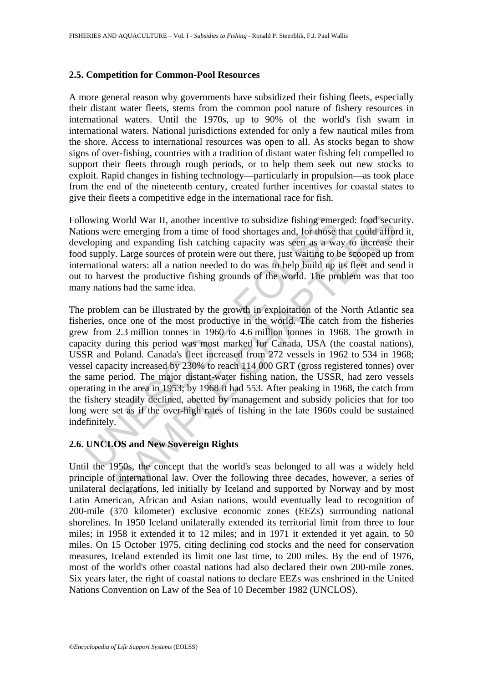#### **2.5. Competition for Common-Pool Resources**

A more general reason why governments have subsidized their fishing fleets, especially their distant water fleets, stems from the common pool nature of fishery resources in international waters. Until the 1970s, up to 90% of the world's fish swam in international waters. National jurisdictions extended for only a few nautical miles from the shore. Access to international resources was open to all. As stocks began to show signs of over-fishing, countries with a tradition of distant water fishing felt compelled to support their fleets through rough periods, or to help them seek out new stocks to exploit. Rapid changes in fishing technology—particularly in propulsion—as took place from the end of the nineteenth century, created further incentives for coastal states to give their fleets a competitive edge in the international race for fish.

Following World War II, another incentive to subsidize fishing emerged: food security. Nations were emerging from a time of food shortages and, for those that could afford it, developing and expanding fish catching capacity was seen as a way to increase their food supply. Large sources of protein were out there, just waiting to be scooped up from international waters: all a nation needed to do was to help build up its fleet and send it out to harvest the productive fishing grounds of the world. The problem was that too many nations had the same idea.

owing World War II, another incentive to subsidize fishing emer<br>ions were emerging from a time of food shortages and, for those teloping and expanding fish catching capacity was seen as a wa<br>supply. Large sources of protei World War II, another incentive to subsidize fishing emerged: food secure<br>the emerging from a time of food shortages and, for those that could affor<br>an and expanding fish catching capacity was seen as a way to increase<br>y. The problem can be illustrated by the growth in exploitation of the North Atlantic sea fisheries, once one of the most productive in the world. The catch from the fisheries grew from 2.3 million tonnes in 1960 to 4.6 million tonnes in 1968. The growth in capacity during this period was most marked for Canada, USA (the coastal nations), USSR and Poland. Canada's fleet increased from 272 vessels in 1962 to 534 in 1968; vessel capacity increased by 230% to reach 114 000 GRT (gross registered tonnes) over the same period. The major distant-water fishing nation, the USSR, had zero vessels operating in the area in 1953; by 1968 it had 553. After peaking in 1968, the catch from the fishery steadily declined, abetted by management and subsidy policies that for too long were set as if the over-high rates of fishing in the late 1960s could be sustained indefinitely.

#### **2.6. UNCLOS and New Sovereign Rights**

Until the 1950s, the concept that the world's seas belonged to all was a widely held principle of international law. Over the following three decades, however, a series of unilateral declarations, led initially by Iceland and supported by Norway and by most Latin American, African and Asian nations, would eventually lead to recognition of 200-mile (370 kilometer) exclusive economic zones (EEZs) surrounding national shorelines. In 1950 Iceland unilaterally extended its territorial limit from three to four miles; in 1958 it extended it to 12 miles; and in 1971 it extended it yet again, to 50 miles. On 15 October 1975, citing declining cod stocks and the need for conservation measures, Iceland extended its limit one last time, to 200 miles. By the end of 1976, most of the world's other coastal nations had also declared their own 200-mile zones. Six years later, the right of coastal nations to declare EEZs was enshrined in the United Nations Convention on Law of the Sea of 10 December 1982 (UNCLOS).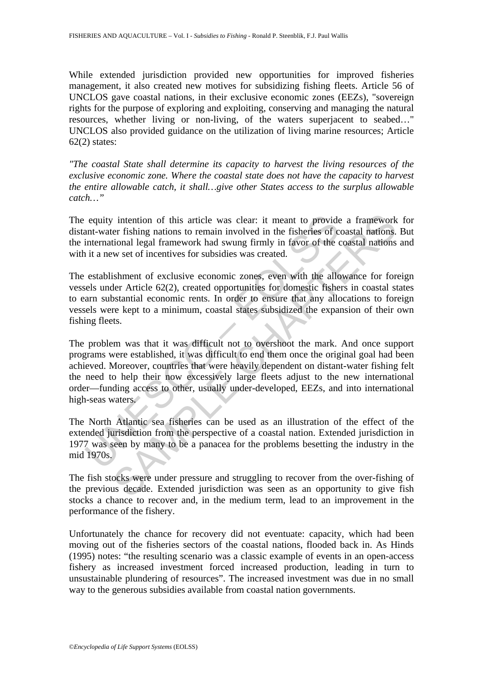While extended jurisdiction provided new opportunities for improved fisheries management, it also created new motives for subsidizing fishing fleets. Article 56 of UNCLOS gave coastal nations, in their exclusive economic zones (EEZs), "sovereign rights for the purpose of exploring and exploiting, conserving and managing the natural resources, whether living or non-living, of the waters superjacent to seabed…" UNCLOS also provided guidance on the utilization of living marine resources; Article  $62(2)$  states:

*"The coastal State shall determine its capacity to harvest the living resources of the exclusive economic zone. Where the coastal state does not have the capacity to harvest the entire allowable catch, it shall…give other States access to the surplus allowable catch…"* 

The equity intention of this article was clear: it meant to provide a framework for distant-water fishing nations to remain involved in the fisheries of coastal nations. But the international legal framework had swung firmly in favor of the coastal nations and with it a new set of incentives for subsidies was created.

The establishment of exclusive economic zones, even with the allowance for foreign vessels under Article 62(2), created opportunities for domestic fishers in coastal states to earn substantial economic rents. In order to ensure that any allocations to foreign vessels were kept to a minimum, coastal states subsidized the expansion of their own fishing fleets.

equity intention of this article was clear: it meant to provident-water fishing nations to remain involved in the fisheries of c international legal framework had swung firmly in favor of the *i* it a new set of incentives is intention of this article was clear: it meant to provide a framework<br>er fishing nations to remain involved in the fisheries of coastal nations.<br>tional legal framework had swung firmly in favor of the coastal nations<br>we The problem was that it was difficult not to overshoot the mark. And once support programs were established, it was difficult to end them once the original goal had been achieved. Moreover, countries that were heavily dependent on distant-water fishing felt the need to help their now excessively large fleets adjust to the new international order—funding access to other, usually under-developed, EEZs, and into international high-seas waters.

The North Atlantic sea fisheries can be used as an illustration of the effect of the extended jurisdiction from the perspective of a coastal nation. Extended jurisdiction in 1977 was seen by many to be a panacea for the problems besetting the industry in the mid 1970s.

The fish stocks were under pressure and struggling to recover from the over-fishing of the previous decade. Extended jurisdiction was seen as an opportunity to give fish stocks a chance to recover and, in the medium term, lead to an improvement in the performance of the fishery.

Unfortunately the chance for recovery did not eventuate: capacity, which had been moving out of the fisheries sectors of the coastal nations, flooded back in. As Hinds (1995) notes: "the resulting scenario was a classic example of events in an open-access fishery as increased investment forced increased production, leading in turn to unsustainable plundering of resources". The increased investment was due in no small way to the generous subsidies available from coastal nation governments.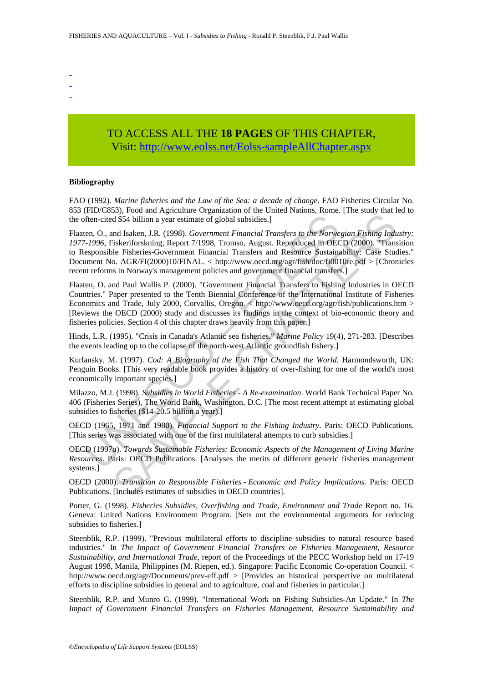- -
- -
- -

## TO ACCESS ALL THE **18 PAGES** OF THIS CHAPTER, Visit: [http://www.eolss.net/Eolss-sampleAllChapter.aspx](https://www.eolss.net/ebooklib/sc_cart.aspx?File=E5-05-01-07)

#### **Bibliography**

FAO (1992). *Marine fisheries and the Law of the Sea: a decade of change*. FAO Fisheries Circular No. 853 (FID/C853), Food and Agriculture Organization of the United Nations, Rome. [The study that led to the often-cited \$54 billion a year estimate of global subsidies.]

Then-cited \$54 billion a year estimate of global subsidies.]<br>
then-cited \$54 billion a year estimate of global subsidies.]<br>
then-cited \$54 billion a year estimate of global subsidies.]<br>
From F-1996, Fiskeriforskning, Repor Experimental space and Mathematic School (Internation Collect Photograph Rish (Internation School AdSA) Million a year estimate of global subsidies.]<br>
Ind Isaken J.R. (1998). *Government Financial Transfers to the Norwegi* Flaaten, O., and Isaken, J.R*.* (1998). *Government Financial Transfers to the Norwegian Fishing Industry: 1977-1996*, Fiskeriforskning, Report 7/1998, Tromso, August. Reproduced in OECD (2000). "Transition to Responsible Fisheries-Government Financial Transfers and Resource Sustainability: Case Studies." Document No. AGR/FI(2000)10/FINAL. < http://www.oecd.org/agr/fish/doc/fi0010fe.pdf > [Chronicles recent reforms in Norway's management policies and government financial transfers.]

Flaaten, O. and Paul Wallis P. (2000). "Government Financial Transfers to Fishing Industries in OECD Countries." Paper presented to the Tenth Biennial Conference of the International Institute of Fisheries Economics and Trade, July 2000, Corvallis, Oregon. < http://www.oecd.org/agr/fish/publications.htm > [Reviews the OECD (2000) study and discusses its findings in the context of bio-economic theory and fisheries policies. Section 4 of this chapter draws heavily from this paper.]

Hinds, L.R. (1995). "Crisis in Canada's Atlantic sea fisheries." *Marine Policy* 19(4), 271-283. [Describes the events leading up to the collapse of the north-west Atlantic groundfish fishery.]

Kurlansky, M. (1997). *Cod: A Biography of the Fish That Changed the World.* Harmondsworth, UK: Penguin Books. [This very readable book provides a history of over-fishing for one of the world's most economically important species.]

Milazzo, M.J. (1998). *Subsidies in World Fisheries - A Re-examination*. World Bank Technical Paper No. 406 (Fisheries Series), The World Bank, Washington, D.C. [The most recent attempt at estimating global subsidies to fisheries (\$14-20.5 billion a year).]

OECD (1965, 1971 and 1980). *Financial Support to the Fishing Industry*. Paris: OECD Publications. [This series was associated with one of the first multilateral attempts to curb subsidies.]

OECD (1997*a*). *Towards Sustainable Fisheries: Economic Aspects of the Management of Living Marine Resources*. Paris: OECD Publications. [Analyses the merits of different generic fisheries management systems.]

OECD (2000). *Transition to Responsible Fisheries - Economic and Policy Implications*. Paris: OECD Publications. [Includes estimates of subsidies in OECD countries].

Porter, G. (1998). *Fisheries Subsidies, Overfishing and Trade, Environment and Trade* Report no. 16. Geneva: United Nations Environment Program. [Sets out the environmental arguments for reducing subsidies to fisheries.]

Steenblik, R.P. (1999). "Previous multilateral efforts to discipline subsidies to natural resource based industries." In *The Impact of Government Financial Transfers on Fisheries Management, Resource Sustainability, and International Trade*, report of the Proceedings of the PECC Workshop held on 17-19 August 1998, Manila, Philippines (M. Riepen, ed.). Singapore: Pacific Economic Co-operation Council. < http://www.oecd.org/agr/Documents/prev-eff.pdf > [Provides an historical perspective on multilateral efforts to discipline subsidies in general and to agriculture, coal and fisheries in particular.]

Steenblik, R.P. and Munro G. (1999). "International Work on Fishing Subsidies-An Update." In *The Impact of Government Financial Transfers on Fisheries Management, Resource Sustainability and*